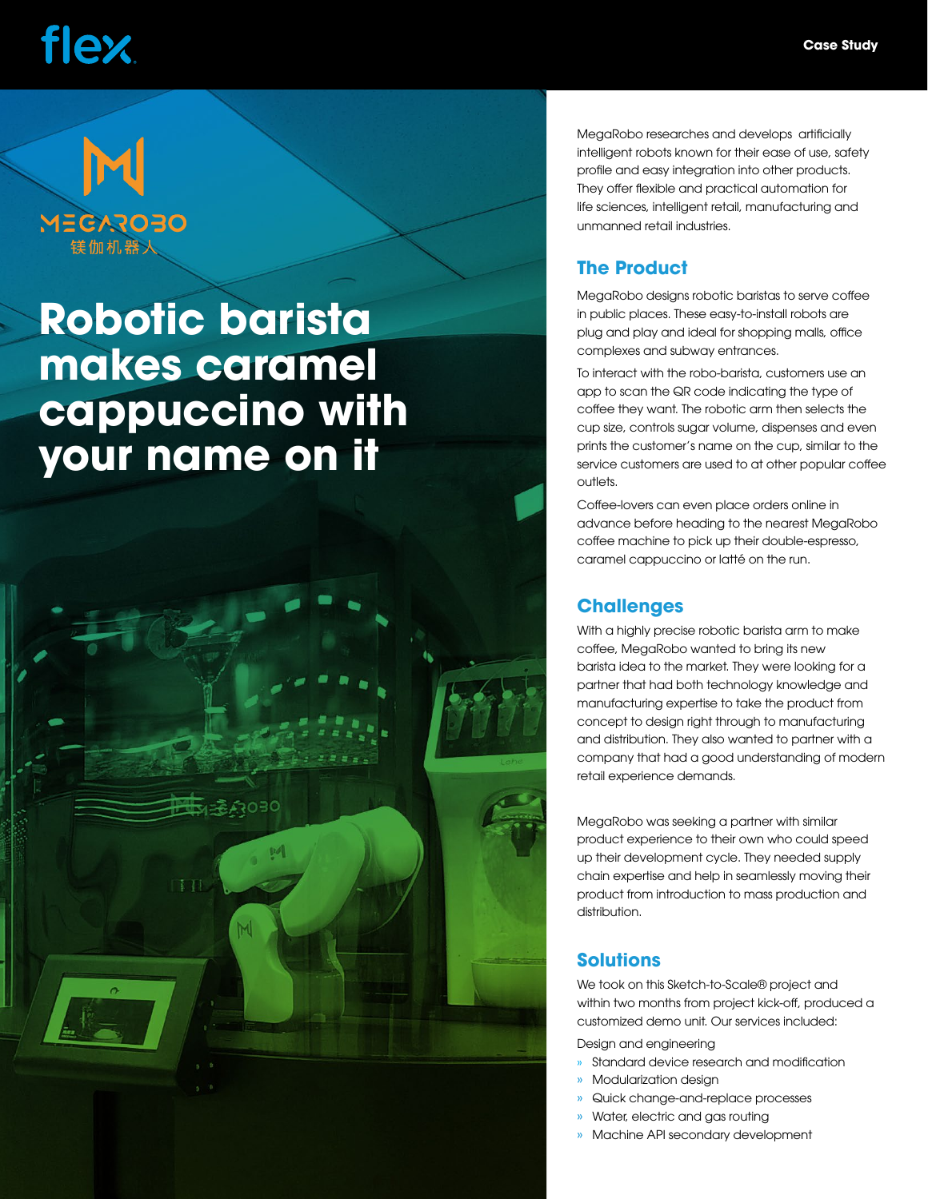# flex.

# **MECAROBO** 镁伽机器人

### **Robotic barista makes caramel cappuccino with your name on it**



MegaRobo researches and develops artificially intelligent robots known for their ease of use, safety profile and easy integration into other products. They offer flexible and practical automation for life sciences, intelligent retail, manufacturing and unmanned retail industries.

#### **The Product**

MegaRobo designs robotic baristas to serve coffee in public places. These easy-to-install robots are plug and play and ideal for shopping malls, office complexes and subway entrances.

To interact with the robo-barista, customers use an app to scan the QR code indicating the type of coffee they want. The robotic arm then selects the cup size, controls sugar volume, dispenses and even prints the customer's name on the cup, similar to the service customers are used to at other popular coffee outlets.

Coffee-lovers can even place orders online in advance before heading to the nearest MegaRobo coffee machine to pick up their double-espresso, caramel cappuccino or latté on the run.

#### **Challenges**

With a highly precise robotic barista arm to make coffee, MegaRobo wanted to bring its new barista idea to the market. They were looking for a partner that had both technology knowledge and manufacturing expertise to take the product from concept to design right through to manufacturing and distribution. They also wanted to partner with a company that had a good understanding of modern retail experience demands.

MegaRobo was seeking a partner with similar product experience to their own who could speed up their development cycle. They needed supply chain expertise and help in seamlessly moving their product from introduction to mass production and distribution.

#### **Solutions**

We took on this Sketch-to-Scale® project and within two months from project kick-off, produced a customized demo unit. Our services included:

Design and engineering

- » Standard device research and modification
- » Modularization design
- » Quick change-and-replace processes
- » Water, electric and gas routing
- » Machine API secondary development